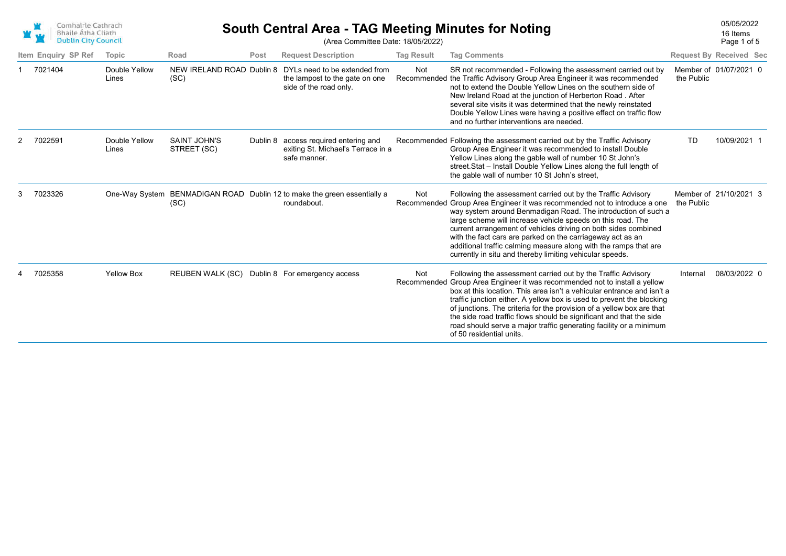| Comhairle Cathrach         |
|----------------------------|
| <b>Bhaile Átha Cliath</b>  |
| <b>Dublin City Council</b> |

## 05/05/2022 **South Central Area - TAG Meeting Minutes for Noting**

Page 1 of 5 16 Items

| <b>DUDIN CIty Council</b> |                        |                                    |      | (Area Committee Date: 18/05/2022)                                                           |                   |                                                                                                                                                                                                                                                                                                                                                                                                                                                                                                                                                 |            | Page 1 of 5                    |
|---------------------------|------------------------|------------------------------------|------|---------------------------------------------------------------------------------------------|-------------------|-------------------------------------------------------------------------------------------------------------------------------------------------------------------------------------------------------------------------------------------------------------------------------------------------------------------------------------------------------------------------------------------------------------------------------------------------------------------------------------------------------------------------------------------------|------------|--------------------------------|
| Item Enquiry SP Ref       | Topic                  | Road                               | Post | <b>Request Description</b>                                                                  | <b>Tag Result</b> | <b>Tag Comments</b>                                                                                                                                                                                                                                                                                                                                                                                                                                                                                                                             |            | <b>Request By Received Sec</b> |
| 7021404                   | Double Yellow<br>Lines | NEW IRELAND ROAD Dublin 8<br>(SC)  |      | DYLs need to be extended from<br>the lampost to the gate on one<br>side of the road only.   | Not               | SR not recommended - Following the assessment carried out by<br>Recommended the Traffic Advisory Group Area Engineer it was recommended<br>not to extend the Double Yellow Lines on the southern side of<br>New Ireland Road at the junction of Herberton Road. After<br>several site visits it was determined that the newly reinstated<br>Double Yellow Lines were having a positive effect on traffic flow<br>and no further interventions are needed.                                                                                       | the Public | Member of 01/07/2021 0         |
| 7022591                   | Double Yellow<br>Lines | <b>SAINT JOHN'S</b><br>STREET (SC) |      | Dublin 8 access required entering and<br>exiting St. Michael's Terrace in a<br>safe manner. |                   | Recommended Following the assessment carried out by the Traffic Advisory<br>Group Area Engineer it was recommended to install Double<br>Yellow Lines along the gable wall of number 10 St John's<br>street. Stat - Install Double Yellow Lines along the full length of<br>the gable wall of number 10 St John's street,                                                                                                                                                                                                                        | <b>TD</b>  | 10/09/2021 1                   |
| 7023326                   | One-Way System         | (SC)                               |      | BENMADIGAN ROAD Dublin 12 to make the green essentially a<br>roundabout.                    | Not               | Following the assessment carried out by the Traffic Advisory<br>Recommended Group Area Engineer it was recommended not to introduce a one<br>way system around Benmadigan Road. The introduction of such a<br>large scheme will increase vehicle speeds on this road. The<br>current arrangement of vehicles driving on both sides combined<br>with the fact cars are parked on the carriageway act as an<br>additional traffic calming measure along with the ramps that are<br>currently in situ and thereby limiting vehicular speeds.       | the Public | Member of 21/10/2021 3         |
| 7025358                   | <b>Yellow Box</b>      | <b>REUBEN WALK (SC)</b>            |      | Dublin 8 For emergency access                                                               | Not               | Following the assessment carried out by the Traffic Advisory<br>Recommended Group Area Engineer it was recommended not to install a yellow<br>box at this location. This area isn't a vehicular entrance and isn't a<br>traffic junction either. A yellow box is used to prevent the blocking<br>of junctions. The criteria for the provision of a yellow box are that<br>the side road traffic flows should be significant and that the side<br>road should serve a major traffic generating facility or a minimum<br>of 50 residential units. | Internal   | 08/03/2022 0                   |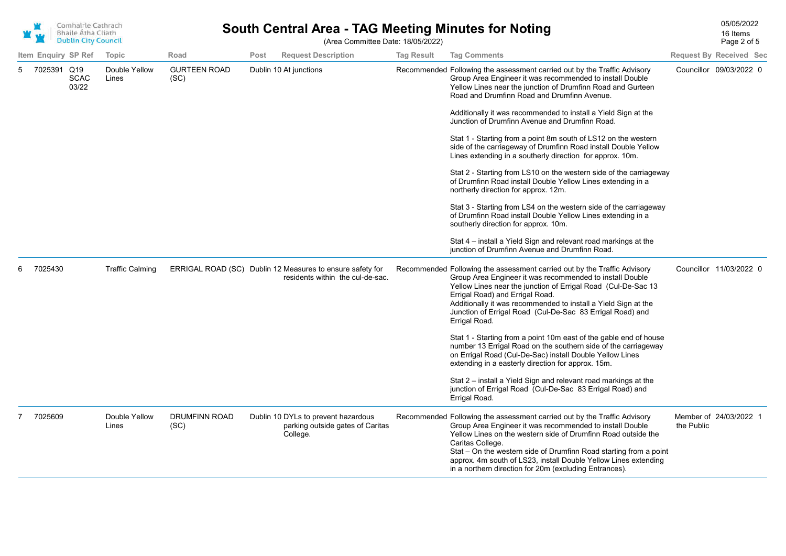| Comhairle Cathrach<br><b>Bhaile Átha Cliath</b><br><b>Dublin City Council</b> |                     |                      |                        | <b>South Central Area - TAG Meeting Minutes for Noting</b><br>(Area Committee Date: 18/05/2022) |      |                                                                                               |                   |                                                                                                                                                                                                                                                                                                                                                                                                                                                                                                                                                                                                                                                                                                                                                                                                                                                                                                                                                                                                                                                       |                                      |  |  |
|-------------------------------------------------------------------------------|---------------------|----------------------|------------------------|-------------------------------------------------------------------------------------------------|------|-----------------------------------------------------------------------------------------------|-------------------|-------------------------------------------------------------------------------------------------------------------------------------------------------------------------------------------------------------------------------------------------------------------------------------------------------------------------------------------------------------------------------------------------------------------------------------------------------------------------------------------------------------------------------------------------------------------------------------------------------------------------------------------------------------------------------------------------------------------------------------------------------------------------------------------------------------------------------------------------------------------------------------------------------------------------------------------------------------------------------------------------------------------------------------------------------|--------------------------------------|--|--|
|                                                                               | Item Enquiry SP Ref |                      | Topic                  | Road                                                                                            | Post | <b>Request Description</b>                                                                    | <b>Tag Result</b> | <b>Tag Comments</b>                                                                                                                                                                                                                                                                                                                                                                                                                                                                                                                                                                                                                                                                                                                                                                                                                                                                                                                                                                                                                                   | <b>Request By Received Sec</b>       |  |  |
| 5                                                                             | 7025391 Q19         | <b>SCAC</b><br>03/22 | Double Yellow<br>Lines | <b>GURTEEN ROAD</b><br>(SC)                                                                     |      | Dublin 10 At junctions                                                                        |                   | Recommended Following the assessment carried out by the Traffic Advisory<br>Group Area Engineer it was recommended to install Double<br>Yellow Lines near the junction of Drumfinn Road and Gurteen<br>Road and Drumfinn Road and Drumfinn Avenue.<br>Additionally it was recommended to install a Yield Sign at the<br>Junction of Drumfinn Avenue and Drumfinn Road.<br>Stat 1 - Starting from a point 8m south of LS12 on the western<br>side of the carriageway of Drumfinn Road install Double Yellow<br>Lines extending in a southerly direction for approx. 10m.<br>Stat 2 - Starting from LS10 on the western side of the carriageway<br>of Drumfinn Road install Double Yellow Lines extending in a<br>northerly direction for approx. 12m.<br>Stat 3 - Starting from LS4 on the western side of the carriageway<br>of Drumfinn Road install Double Yellow Lines extending in a<br>southerly direction for approx. 10m.<br>Stat 4 – install a Yield Sign and relevant road markings at the<br>junction of Drumfinn Avenue and Drumfinn Road. | Councillor 09/03/2022 0              |  |  |
| 6                                                                             | 7025430             |                      | <b>Traffic Calming</b> |                                                                                                 |      | ERRIGAL ROAD (SC) Dublin 12 Measures to ensure safety for<br>residents within the cul-de-sac. |                   | Recommended Following the assessment carried out by the Traffic Advisory<br>Group Area Engineer it was recommended to install Double<br>Yellow Lines near the junction of Errigal Road (Cul-De-Sac 13<br>Errigal Road) and Errigal Road.<br>Additionally it was recommended to install a Yield Sign at the<br>Junction of Errigal Road (Cul-De-Sac 83 Errigal Road) and<br>Errigal Road.<br>Stat 1 - Starting from a point 10m east of the gable end of house<br>number 13 Errigal Road on the southern side of the carriageway<br>on Errigal Road (Cul-De-Sac) install Double Yellow Lines<br>extending in a easterly direction for approx. 15m.<br>Stat 2 – install a Yield Sign and relevant road markings at the<br>junction of Errigal Road (Cul-De-Sac 83 Errigal Road) and<br>Errigal Road.                                                                                                                                                                                                                                                    | Councillor 11/03/2022 0              |  |  |
|                                                                               | 7025609             |                      | Double Yellow<br>Lines | <b>DRUMFINN ROAD</b><br>(SC)                                                                    |      | Dublin 10 DYLs to prevent hazardous<br>parking outside gates of Caritas<br>College.           |                   | Recommended Following the assessment carried out by the Traffic Advisory<br>Group Area Engineer it was recommended to install Double<br>Yellow Lines on the western side of Drumfinn Road outside the<br>Caritas College.<br>Stat - On the western side of Drumfinn Road starting from a point<br>approx. 4m south of LS23, install Double Yellow Lines extending<br>in a northern direction for 20m (excluding Entrances).                                                                                                                                                                                                                                                                                                                                                                                                                                                                                                                                                                                                                           | Member of 24/03/2022 1<br>the Public |  |  |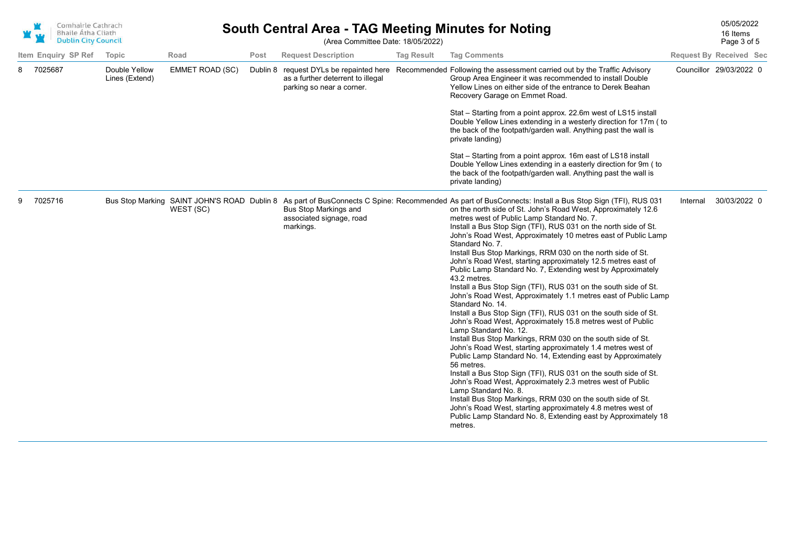|   | Comhairle Cathrach<br>w<br>Bhaile Átha Cliath<br><b>Dublin City Council</b> |                     |                                 | <b>South Central Area - TAG Meeting Minutes for Noting</b><br>(Area Committee Date: 18/05/2022) |          |                                                                                                  |                   |                                                                                                                                                                                                                                                                                                                                                                                                                                                                                                                                                                                                                                                                                                                                                                                                                                                                                                                                                                                                                                                                                                                                                                                                                                                                                                                                                                                                                                                                                                                                              |          |                                |  |
|---|-----------------------------------------------------------------------------|---------------------|---------------------------------|-------------------------------------------------------------------------------------------------|----------|--------------------------------------------------------------------------------------------------|-------------------|----------------------------------------------------------------------------------------------------------------------------------------------------------------------------------------------------------------------------------------------------------------------------------------------------------------------------------------------------------------------------------------------------------------------------------------------------------------------------------------------------------------------------------------------------------------------------------------------------------------------------------------------------------------------------------------------------------------------------------------------------------------------------------------------------------------------------------------------------------------------------------------------------------------------------------------------------------------------------------------------------------------------------------------------------------------------------------------------------------------------------------------------------------------------------------------------------------------------------------------------------------------------------------------------------------------------------------------------------------------------------------------------------------------------------------------------------------------------------------------------------------------------------------------------|----------|--------------------------------|--|
|   |                                                                             | Item Enquiry SP Ref | <b>Topic</b>                    | Road                                                                                            | Post     | <b>Request Description</b>                                                                       | <b>Tag Result</b> | <b>Tag Comments</b>                                                                                                                                                                                                                                                                                                                                                                                                                                                                                                                                                                                                                                                                                                                                                                                                                                                                                                                                                                                                                                                                                                                                                                                                                                                                                                                                                                                                                                                                                                                          |          | <b>Request By Received Sec</b> |  |
| 8 | 7025687                                                                     |                     | Double Yellow<br>Lines (Extend) | EMMET ROAD (SC)                                                                                 | Dublin 8 | request DYLs be repainted here<br>as a further deterrent to illegal<br>parking so near a corner. |                   | Recommended Following the assessment carried out by the Traffic Advisory<br>Group Area Engineer it was recommended to install Double<br>Yellow Lines on either side of the entrance to Derek Beahan<br>Recovery Garage on Emmet Road.<br>Stat - Starting from a point approx. 22.6m west of LS15 install<br>Double Yellow Lines extending in a westerly direction for 17m (to                                                                                                                                                                                                                                                                                                                                                                                                                                                                                                                                                                                                                                                                                                                                                                                                                                                                                                                                                                                                                                                                                                                                                                |          | Councillor 29/03/2022 0        |  |
|   |                                                                             |                     |                                 |                                                                                                 |          |                                                                                                  |                   | the back of the footpath/garden wall. Anything past the wall is<br>private landing)                                                                                                                                                                                                                                                                                                                                                                                                                                                                                                                                                                                                                                                                                                                                                                                                                                                                                                                                                                                                                                                                                                                                                                                                                                                                                                                                                                                                                                                          |          |                                |  |
|   |                                                                             |                     |                                 |                                                                                                 |          |                                                                                                  |                   | Stat - Starting from a point approx. 16m east of LS18 install<br>Double Yellow Lines extending in a easterly direction for 9m (to<br>the back of the footpath/garden wall. Anything past the wall is<br>private landing)                                                                                                                                                                                                                                                                                                                                                                                                                                                                                                                                                                                                                                                                                                                                                                                                                                                                                                                                                                                                                                                                                                                                                                                                                                                                                                                     |          |                                |  |
| 9 | 7025716                                                                     |                     |                                 | WEST (SC)                                                                                       |          | Bus Stop Markings and<br>associated signage, road<br>markings.                                   |                   | Bus Stop Marking SAINT JOHN'S ROAD Dublin 8 As part of BusConnects C Spine: Recommended As part of BusConnects: Install a Bus Stop Sign (TFI), RUS 031<br>on the north side of St. John's Road West, Approximately 12.6<br>metres west of Public Lamp Standard No. 7.<br>Install a Bus Stop Sign (TFI), RUS 031 on the north side of St.<br>John's Road West, Approximately 10 metres east of Public Lamp<br>Standard No. 7.<br>Install Bus Stop Markings, RRM 030 on the north side of St.<br>John's Road West, starting approximately 12.5 metres east of<br>Public Lamp Standard No. 7, Extending west by Approximately<br>43.2 metres.<br>Install a Bus Stop Sign (TFI), RUS 031 on the south side of St.<br>John's Road West, Approximately 1.1 metres east of Public Lamp<br>Standard No. 14.<br>Install a Bus Stop Sign (TFI), RUS 031 on the south side of St.<br>John's Road West, Approximately 15.8 metres west of Public<br>Lamp Standard No. 12.<br>Install Bus Stop Markings, RRM 030 on the south side of St.<br>John's Road West, starting approximately 1.4 metres west of<br>Public Lamp Standard No. 14, Extending east by Approximately<br>56 metres.<br>Install a Bus Stop Sign (TFI), RUS 031 on the south side of St.<br>John's Road West, Approximately 2.3 metres west of Public<br>Lamp Standard No. 8.<br>Install Bus Stop Markings, RRM 030 on the south side of St.<br>John's Road West, starting approximately 4.8 metres west of<br>Public Lamp Standard No. 8, Extending east by Approximately 18<br>metres. | Internal | 30/03/2022 0                   |  |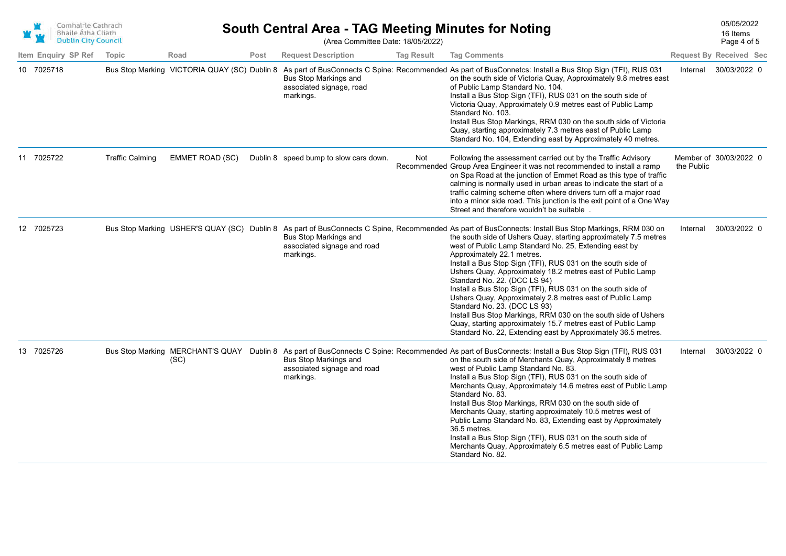

## South Central Area - TAG Meeting Minutes for Noting<br>16 Items (Area Committee Date: 18/05/2022)

Page 4 of 5 16 Items

|                     |                        |                                              |      | $\mu$ and both interest battle. To obtain the $\mu$                      |                   |                                                                                                                                                                                                                                                                                                                                                                                                                                                                                                                                                                                                                                                                                                                                                                                                                                               |            | $1$ uyu $\pm$ 01 0             |
|---------------------|------------------------|----------------------------------------------|------|--------------------------------------------------------------------------|-------------------|-----------------------------------------------------------------------------------------------------------------------------------------------------------------------------------------------------------------------------------------------------------------------------------------------------------------------------------------------------------------------------------------------------------------------------------------------------------------------------------------------------------------------------------------------------------------------------------------------------------------------------------------------------------------------------------------------------------------------------------------------------------------------------------------------------------------------------------------------|------------|--------------------------------|
| Item Enquiry SP Ref | Topic                  | Road                                         | Post | <b>Request Description</b>                                               | <b>Tag Result</b> | <b>Tag Comments</b>                                                                                                                                                                                                                                                                                                                                                                                                                                                                                                                                                                                                                                                                                                                                                                                                                           |            | <b>Request By Received Sec</b> |
| 10 7025718          |                        | Bus Stop Marking VICTORIA QUAY (SC) Dublin 8 |      | <b>Bus Stop Markings and</b><br>associated signage, road<br>markings.    |                   | As part of BusConnects C Spine: Recommended As part of BusConnetcs: Install a Bus Stop Sign (TFI), RUS 031<br>on the south side of Victoria Quay, Approximately 9.8 metres east<br>of Public Lamp Standard No. 104.<br>Install a Bus Stop Sign (TFI), RUS 031 on the south side of<br>Victoria Quay, Approximately 0.9 metres east of Public Lamp<br>Standard No. 103.<br>Install Bus Stop Markings, RRM 030 on the south side of Victoria<br>Quay, starting approximately 7.3 metres east of Public Lamp<br>Standard No. 104, Extending east by Approximately 40 metres.                                                                                                                                                                                                                                                                     | Internal   | 30/03/2022 0                   |
| 11 7025722          | <b>Traffic Calming</b> | <b>EMMET ROAD (SC)</b>                       |      | Dublin 8 speed bump to slow cars down.                                   | Not               | Following the assessment carried out by the Traffic Advisory<br>Recommended Group Area Engineer it was not recommended to install a ramp<br>on Spa Road at the junction of Emmet Road as this type of traffic<br>calming is normally used in urban areas to indicate the start of a<br>traffic calming scheme often where drivers turn off a major road<br>into a minor side road. This junction is the exit point of a One Way<br>Street and therefore wouldn't be suitable.                                                                                                                                                                                                                                                                                                                                                                 | the Public | Member of 30/03/2022 0         |
| 12 7025723          |                        |                                              |      | <b>Bus Stop Markings and</b><br>associated signage and road<br>markings. |                   | Bus Stop Marking USHER'S QUAY (SC) Dublin 8 As part of BusConnects C Spine, Recommended As part of BusConnects: Install Bus Stop Markings, RRM 030 on<br>the south side of Ushers Quay, starting approximately 7.5 metres<br>west of Public Lamp Standard No. 25, Extending east by<br>Approximately 22.1 metres.<br>Install a Bus Stop Sign (TFI), RUS 031 on the south side of<br>Ushers Quay, Approximately 18.2 metres east of Public Lamp<br>Standard No. 22. (DCC LS 94)<br>Install a Bus Stop Sign (TFI), RUS 031 on the south side of<br>Ushers Quay, Approximately 2.8 metres east of Public Lamp<br>Standard No. 23. (DCC LS 93)<br>Install Bus Stop Markings, RRM 030 on the south side of Ushers<br>Quay, starting approximately 15.7 metres east of Public Lamp<br>Standard No. 22, Extending east by Approximately 36.5 metres. | Internal   | 30/03/2022 0                   |
| 13 7025726          |                        | (SC)                                         |      | <b>Bus Stop Markings and</b><br>associated signage and road<br>markings. |                   | Bus Stop Marking MERCHANT'S QUAY Dublin 8 As part of BusConnects C Spine: Recommended As part of BusConnects: Install a Bus Stop Sign (TFI), RUS 031<br>on the south side of Merchants Quay, Approximately 8 metres<br>west of Public Lamp Standard No. 83.<br>Install a Bus Stop Sign (TFI), RUS 031 on the south side of<br>Merchants Quay, Approximately 14.6 metres east of Public Lamp<br>Standard No. 83.<br>Install Bus Stop Markings, RRM 030 on the south side of<br>Merchants Quay, starting approximately 10.5 metres west of<br>Public Lamp Standard No. 83, Extending east by Approximately<br>36.5 metres.<br>Install a Bus Stop Sign (TFI), RUS 031 on the south side of<br>Merchants Quay, Approximately 6.5 metres east of Public Lamp<br>Standard No. 82.                                                                   | Internal   | 30/03/2022 0                   |